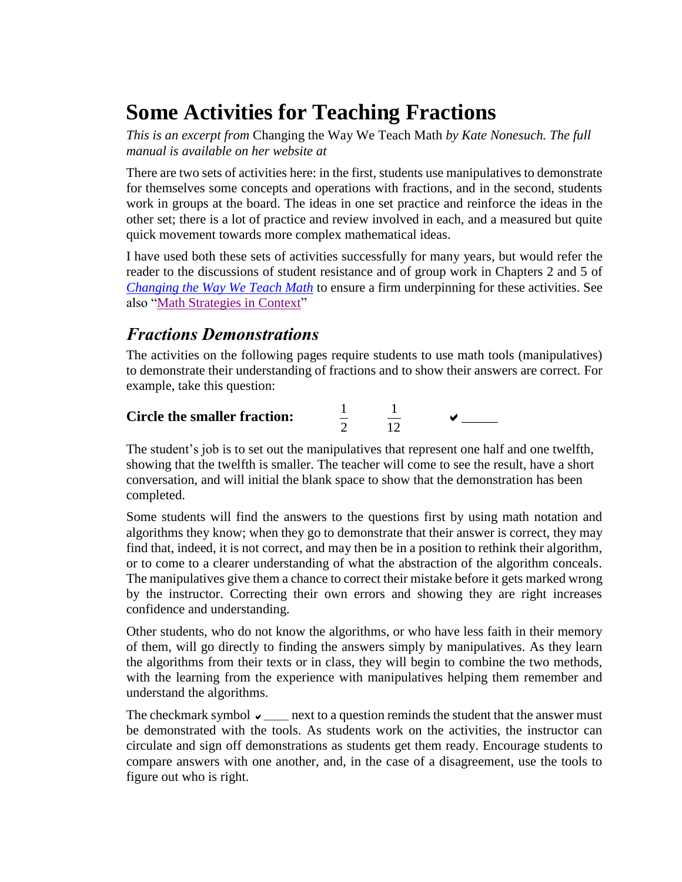# **Some Activities for Teaching Fractions**

*This is an excerpt from* Changing the Way We Teach Math *by Kate Nonesuch. The full manual is available on her website at* 

There are two sets of activities here: in the first, students use manipulatives to demonstrate for themselves some concepts and operations with fractions, and in the second, students work in groups at the board. The ideas in one set practice and reinforce the ideas in the other set; there is a lot of practice and review involved in each, and a measured but quite quick movement towards more complex mathematical ideas.

I have used both these sets of activities successfully for many years, but would refer the reader to the discussions of student resistance and of group work in Chapters 2 and 5 of *[Changing the Way We Teach Math](https://katenonesuch.com/resources/math/)* to ensure a firm underpinning for these activities. See also ["Math Strategies in Context"](https://katenonesuch.com/)

### *Fractions Demonstrations*

The activities on the following pages require students to use math tools (manipulatives) to demonstrate their understanding of fractions and to show their answers are correct. For example, take this question:

| <b>Circle the smaller fraction:</b> |  |  |
|-------------------------------------|--|--|
|                                     |  |  |
|                                     |  |  |

The student's job is to set out the manipulatives that represent one half and one twelfth, showing that the twelfth is smaller. The teacher will come to see the result, have a short conversation, and will initial the blank space to show that the demonstration has been completed.

Some students will find the answers to the questions first by using math notation and algorithms they know; when they go to demonstrate that their answer is correct, they may find that, indeed, it is not correct, and may then be in a position to rethink their algorithm, or to come to a clearer understanding of what the abstraction of the algorithm conceals. The manipulatives give them a chance to correct their mistake before it gets marked wrong by the instructor. Correcting their own errors and showing they are right increases confidence and understanding.

Other students, who do not know the algorithms, or who have less faith in their memory of them, will go directly to finding the answers simply by manipulatives. As they learn the algorithms from their texts or in class, they will begin to combine the two methods, with the learning from the experience with manipulatives helping them remember and understand the algorithms.

The checkmark symbol  $\vee \_\_\_\$ next to a question reminds the student that the answer must be demonstrated with the tools. As students work on the activities, the instructor can circulate and sign off demonstrations as students get them ready. Encourage students to compare answers with one another, and, in the case of a disagreement, use the tools to figure out who is right.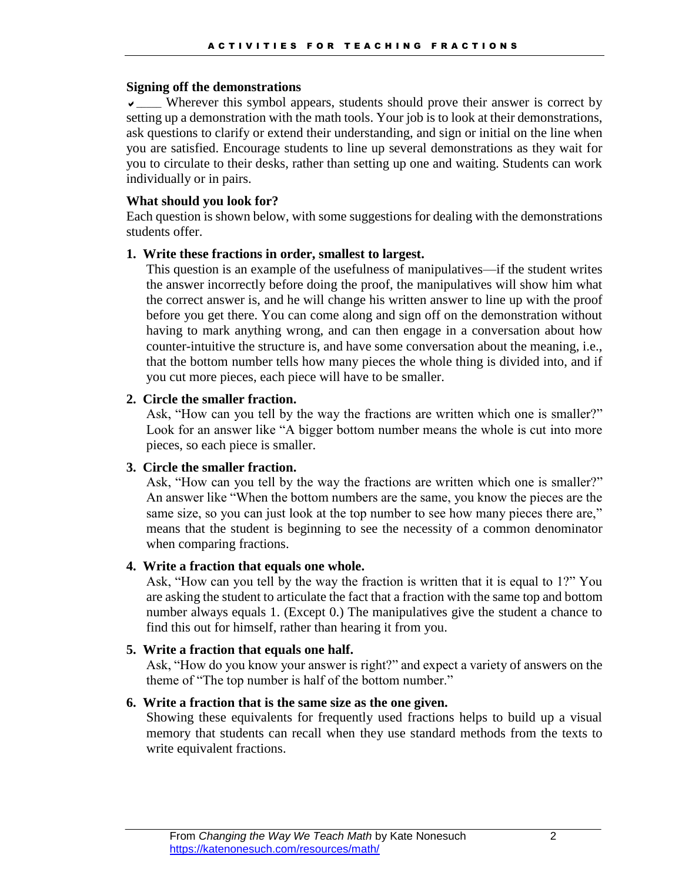#### **Signing off the demonstrations**

 $\sqrt{2}$  Wherever this symbol appears, students should prove their answer is correct by setting up a demonstration with the math tools. Your job is to look at their demonstrations, ask questions to clarify or extend their understanding, and sign or initial on the line when you are satisfied. Encourage students to line up several demonstrations as they wait for you to circulate to their desks, rather than setting up one and waiting. Students can work individually or in pairs.

#### **What should you look for?**

Each question is shown below, with some suggestions for dealing with the demonstrations students offer.

#### **1. Write these fractions in order, smallest to largest.**

This question is an example of the usefulness of manipulatives—if the student writes the answer incorrectly before doing the proof, the manipulatives will show him what the correct answer is, and he will change his written answer to line up with the proof before you get there. You can come along and sign off on the demonstration without having to mark anything wrong, and can then engage in a conversation about how counter-intuitive the structure is, and have some conversation about the meaning, i.e., that the bottom number tells how many pieces the whole thing is divided into, and if you cut more pieces, each piece will have to be smaller.

#### **2. Circle the smaller fraction.**

Ask, "How can you tell by the way the fractions are written which one is smaller?" Look for an answer like "A bigger bottom number means the whole is cut into more pieces, so each piece is smaller.

### **3. Circle the smaller fraction.**

Ask, "How can you tell by the way the fractions are written which one is smaller?" An answer like "When the bottom numbers are the same, you know the pieces are the same size, so you can just look at the top number to see how many pieces there are," means that the student is beginning to see the necessity of a common denominator when comparing fractions.

#### **4. Write a fraction that equals one whole.**

Ask, "How can you tell by the way the fraction is written that it is equal to 1?" You are asking the student to articulate the fact that a fraction with the same top and bottom number always equals 1. (Except 0.) The manipulatives give the student a chance to find this out for himself, rather than hearing it from you.

#### **5. Write a fraction that equals one half.**

Ask, "How do you know your answer is right?" and expect a variety of answers on the theme of "The top number is half of the bottom number."

### **6. Write a fraction that is the same size as the one given.**

Showing these equivalents for frequently used fractions helps to build up a visual memory that students can recall when they use standard methods from the texts to write equivalent fractions.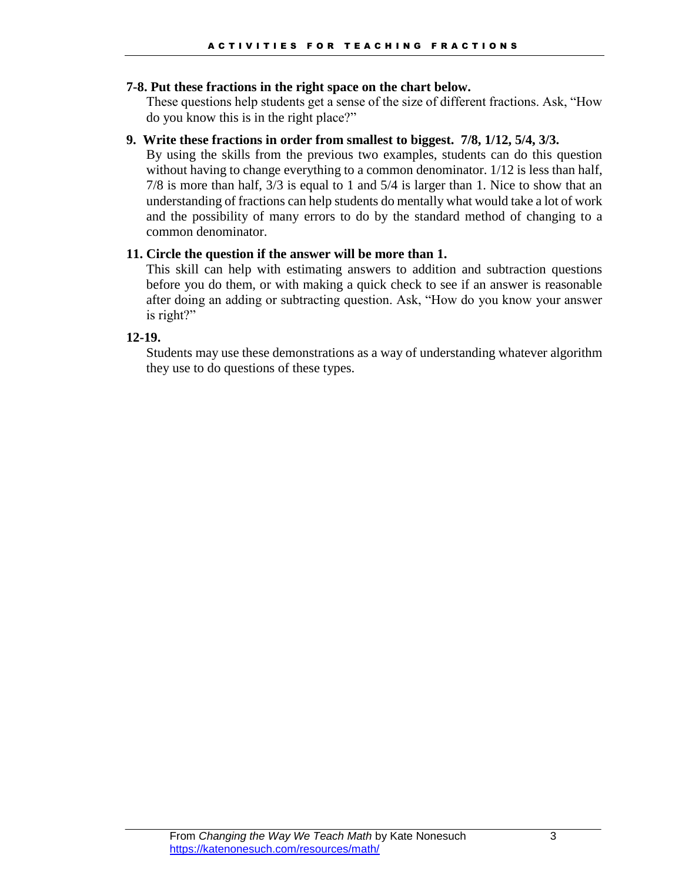#### **7-8. Put these fractions in the right space on the chart below.**

These questions help students get a sense of the size of different fractions. Ask, "How do you know this is in the right place?"

#### **9. Write these fractions in order from smallest to biggest. 7/8, 1/12, 5/4, 3/3.**

By using the skills from the previous two examples, students can do this question without having to change everything to a common denominator. 1/12 is less than half, 7/8 is more than half, 3/3 is equal to 1 and 5/4 is larger than 1. Nice to show that an understanding of fractions can help students do mentally what would take a lot of work and the possibility of many errors to do by the standard method of changing to a common denominator.

#### **11. Circle the question if the answer will be more than 1.**

This skill can help with estimating answers to addition and subtraction questions before you do them, or with making a quick check to see if an answer is reasonable after doing an adding or subtracting question. Ask, "How do you know your answer is right?"

#### **12-19.**

Students may use these demonstrations as a way of understanding whatever algorithm they use to do questions of these types.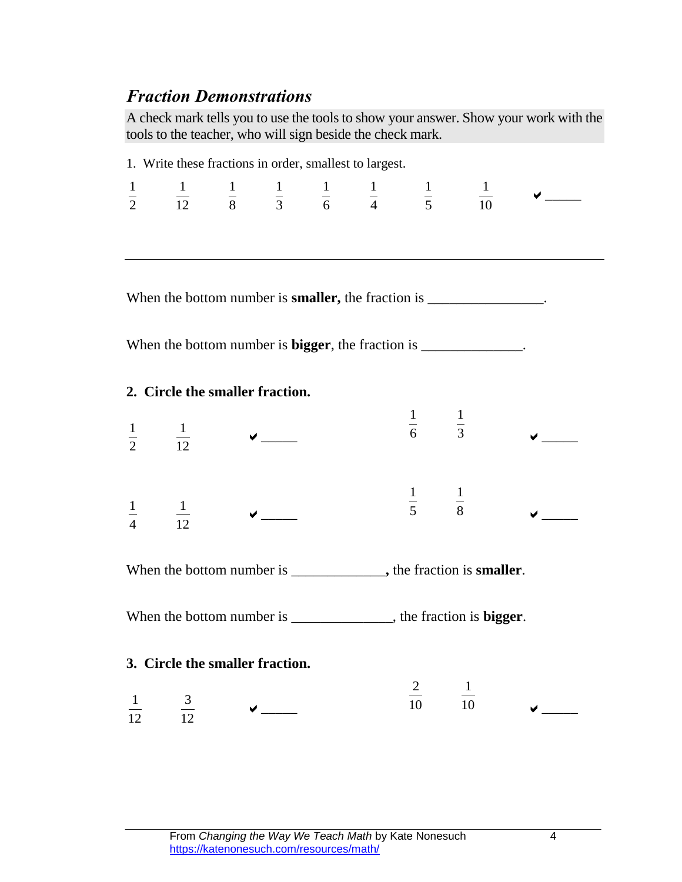## *Fraction Demonstrations*

A check mark tells you to use the tools to show your answer. Show your work with the tools to the teacher, who will sign beside the check mark.

| 1. Write these fractions in order, smallest to largest.                   |                                 |  |                                                                                                                                                                                                                                                                                                                                                     |  |  |                             |                                                                                                                   |                                                     |  |
|---------------------------------------------------------------------------|---------------------------------|--|-----------------------------------------------------------------------------------------------------------------------------------------------------------------------------------------------------------------------------------------------------------------------------------------------------------------------------------------------------|--|--|-----------------------------|-------------------------------------------------------------------------------------------------------------------|-----------------------------------------------------|--|
|                                                                           |                                 |  |                                                                                                                                                                                                                                                                                                                                                     |  |  |                             | $\frac{1}{2}$ $\frac{1}{12}$ $\frac{1}{8}$ $\frac{1}{3}$ $\frac{1}{6}$ $\frac{1}{4}$ $\frac{1}{5}$ $\frac{1}{10}$ | $\boldsymbol{\mathsf{v}}$ $\boldsymbol{\mathsf{v}}$ |  |
|                                                                           |                                 |  |                                                                                                                                                                                                                                                                                                                                                     |  |  |                             |                                                                                                                   |                                                     |  |
|                                                                           |                                 |  |                                                                                                                                                                                                                                                                                                                                                     |  |  |                             |                                                                                                                   |                                                     |  |
|                                                                           |                                 |  |                                                                                                                                                                                                                                                                                                                                                     |  |  |                             |                                                                                                                   |                                                     |  |
|                                                                           |                                 |  |                                                                                                                                                                                                                                                                                                                                                     |  |  |                             | When the bottom number is <b>smaller</b> , the fraction is ________________.                                      |                                                     |  |
|                                                                           |                                 |  |                                                                                                                                                                                                                                                                                                                                                     |  |  |                             |                                                                                                                   |                                                     |  |
|                                                                           |                                 |  |                                                                                                                                                                                                                                                                                                                                                     |  |  |                             | When the bottom number is <b>bigger</b> , the fraction is ______________.                                         |                                                     |  |
|                                                                           | 2. Circle the smaller fraction. |  |                                                                                                                                                                                                                                                                                                                                                     |  |  |                             |                                                                                                                   |                                                     |  |
|                                                                           |                                 |  |                                                                                                                                                                                                                                                                                                                                                     |  |  | $\frac{1}{6}$ $\frac{1}{3}$ |                                                                                                                   |                                                     |  |
|                                                                           | $\frac{1}{2}$ $\frac{1}{12}$    |  | $\begin{picture}(20,20) \put(0,0){\line(1,0){10}} \put(15,0){\line(1,0){10}} \put(15,0){\line(1,0){10}} \put(15,0){\line(1,0){10}} \put(15,0){\line(1,0){10}} \put(15,0){\line(1,0){10}} \put(15,0){\line(1,0){10}} \put(15,0){\line(1,0){10}} \put(15,0){\line(1,0){10}} \put(15,0){\line(1,0){10}} \put(15,0){\line(1,0){10}} \put(15,0){\line(1$ |  |  |                             |                                                                                                                   |                                                     |  |
|                                                                           |                                 |  |                                                                                                                                                                                                                                                                                                                                                     |  |  |                             |                                                                                                                   |                                                     |  |
|                                                                           |                                 |  |                                                                                                                                                                                                                                                                                                                                                     |  |  | $\frac{1}{5}$ $\frac{1}{8}$ |                                                                                                                   |                                                     |  |
| $\frac{1}{4}$ $\frac{1}{12}$                                              |                                 |  |                                                                                                                                                                                                                                                                                                                                                     |  |  |                             |                                                                                                                   |                                                     |  |
|                                                                           |                                 |  |                                                                                                                                                                                                                                                                                                                                                     |  |  |                             |                                                                                                                   |                                                     |  |
| When the bottom number is _____________, the fraction is <b>smaller</b> . |                                 |  |                                                                                                                                                                                                                                                                                                                                                     |  |  |                             |                                                                                                                   |                                                     |  |
| When the bottom number is _____________, the fraction is <b>bigger</b> .  |                                 |  |                                                                                                                                                                                                                                                                                                                                                     |  |  |                             |                                                                                                                   |                                                     |  |
|                                                                           |                                 |  |                                                                                                                                                                                                                                                                                                                                                     |  |  |                             |                                                                                                                   |                                                     |  |
| 3. Circle the smaller fraction.                                           |                                 |  |                                                                                                                                                                                                                                                                                                                                                     |  |  |                             |                                                                                                                   |                                                     |  |
|                                                                           |                                 |  |                                                                                                                                                                                                                                                                                                                                                     |  |  | $\frac{2}{10}$              | $\frac{1}{10}$                                                                                                    |                                                     |  |
| 12                                                                        | $rac{3}{12}$                    |  |                                                                                                                                                                                                                                                                                                                                                     |  |  |                             |                                                                                                                   |                                                     |  |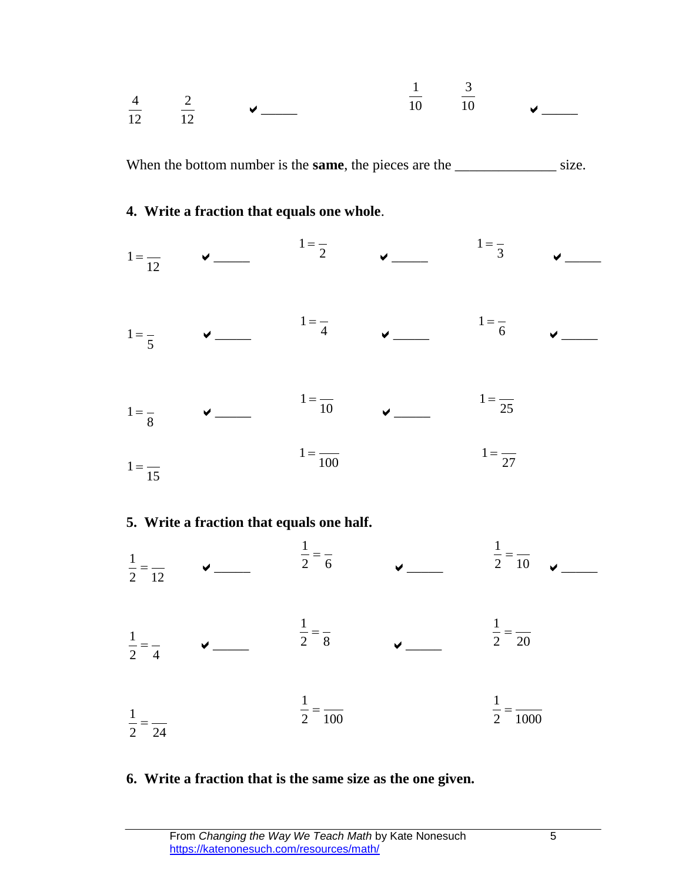

### **6. Write a fraction that is the same size as the one given.**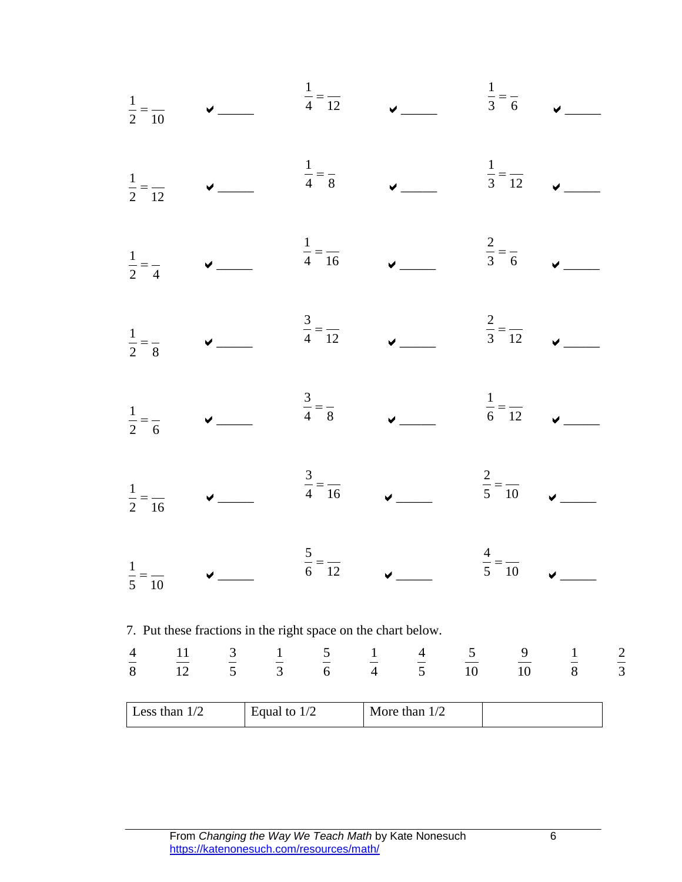| Less than 1/2 |                                                                                                                                                              | Equal to 1/2 |                             |                             | More than 1/2 |                |                |             |             |
|---------------|--------------------------------------------------------------------------------------------------------------------------------------------------------------|--------------|-----------------------------|-----------------------------|---------------|----------------|----------------|-------------|-------------|
| $\frac{4}{8}$ | 11<br>$\frac{3}{5}$<br>$\frac{1}{12}$                                                                                                                        |              | $\frac{1}{3}$ $\frac{5}{6}$ | $\frac{1}{4}$ $\frac{4}{5}$ |               | $\frac{5}{10}$ | $\frac{9}{10}$ | $rac{1}{8}$ | $rac{2}{3}$ |
|               | 7. Put these fractions in the right space on the chart below.                                                                                                |              |                             |                             |               |                |                |             |             |
|               | $\frac{1}{5} = \frac{1}{10}$ $\sqrt{2-2}$ $\frac{5}{6} = \frac{1}{12}$ $\sqrt{2-2}$ $\frac{4}{5} = \frac{1}{10}$ $\sqrt{2-2}$                                |              |                             |                             |               |                |                |             |             |
|               | $\frac{1}{2} = \frac{1}{16}$ $\sqrt{2} = \frac{3}{16}$ $\sqrt{2} = \frac{2}{10}$ $\sqrt{2} = \frac{2}{10}$                                                   |              |                             |                             |               |                |                |             |             |
|               | $\frac{1}{2} = \frac{1}{6}$<br>$\sqrt{1 - \frac{3}{4}} = \frac{3}{8}$<br>$\sqrt{1 - \frac{1}{6}} = \frac{1}{12}$<br>$\sqrt{1 - \frac{1}{12}} = \frac{1}{12}$ |              |                             |                             |               |                |                |             |             |
|               | $\frac{1}{2} = \frac{1}{8}$ $\checkmark$ $\frac{3}{4} = \frac{1}{12}$ $\checkmark$ $\frac{2}{3} = \frac{1}{12}$ $\checkmark$                                 |              |                             |                             |               |                |                |             |             |
|               | $\frac{1}{2} = \frac{1}{4}$ v $\frac{1}{4} = \frac{1}{16}$ v $\frac{2}{3} = \frac{1}{6}$                                                                     |              |                             |                             |               |                |                |             |             |
|               | $\frac{1}{2} = \frac{1}{12}$ $\sqrt{1 - \frac{1}{4}} = \frac{1}{8}$ $\sqrt{1 - \frac{1}{3}} = \frac{1}{12}$                                                  |              |                             |                             |               |                |                |             |             |
|               | $\frac{1}{2} = \frac{1}{10}$ $\sqrt{1 - \frac{1}{4}} = \frac{1}{12}$ $\sqrt{1 - \frac{1}{3}} = \frac{1}{6}$                                                  |              |                             |                             |               |                |                |             |             |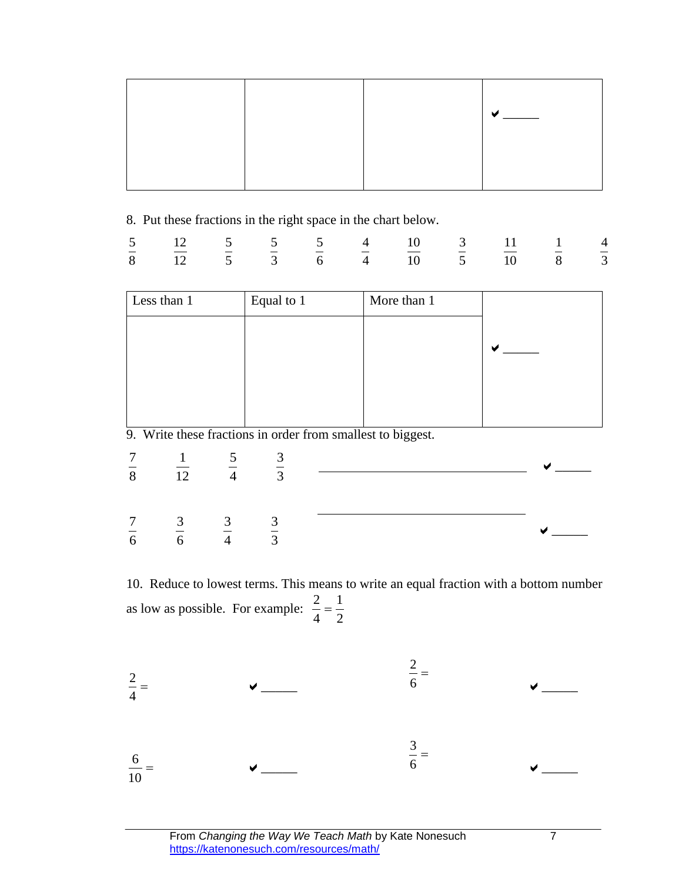|  | $\overline{\phantom{0}}$ |
|--|--------------------------|
|  |                          |

8. Put these fractions in the right space in the chart below.

|  |  |  | 5 12 5 5 5 4 10 3 11 1 4 |  |  |
|--|--|--|--------------------------|--|--|
|  |  |  | 8 12 5 3 6 4 10 5 10 8 3 |  |  |

|                                  | Less than 1                                |                             | Equal to 1 | More than 1                                                 |  |
|----------------------------------|--------------------------------------------|-----------------------------|------------|-------------------------------------------------------------|--|
|                                  |                                            |                             |            |                                                             |  |
|                                  |                                            |                             |            | 9. Write these fractions in order from smallest to biggest. |  |
| $rac{7}{8}$                      | $\frac{1}{12}$ $\frac{5}{4}$ $\frac{3}{3}$ |                             |            |                                                             |  |
| $\overline{7}$<br>$\overline{6}$ | $rac{3}{6}$                                | $\frac{3}{4}$ $\frac{3}{3}$ |            |                                                             |  |

10. Reduce to lowest terms. This means to write an equal fraction with a bottom number as low as possible. For example:  $\frac{2}{1}$ 

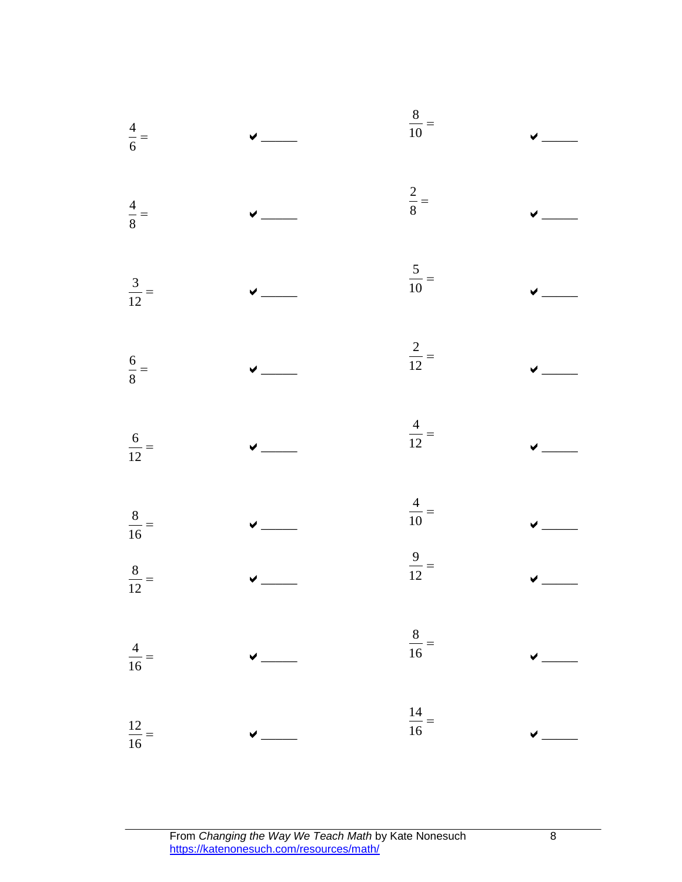| $\frac{4}{6}$     |                                                                                                  | $\frac{8}{10}$ =  |   |
|-------------------|--------------------------------------------------------------------------------------------------|-------------------|---|
| $\frac{4}{8}$     |                                                                                                  | $\frac{2}{8}$     |   |
| $\frac{3}{12} =$  |                                                                                                  | $\frac{5}{10} =$  |   |
| $\frac{6}{8} =$   |                                                                                                  | $\frac{2}{12} =$  |   |
| $\frac{6}{12} =$  |                                                                                                  | $\frac{4}{12} =$  |   |
| $\frac{8}{16}$ =  |                                                                                                  | $\frac{4}{10}$ =  |   |
| $\frac{8}{12} =$  |                                                                                                  | $\frac{9}{12} =$  |   |
| $\frac{4}{16}$    |                                                                                                  | $\frac{8}{16}$    |   |
| $\frac{12}{16}$ = |                                                                                                  | $\frac{14}{16} =$ |   |
|                   |                                                                                                  |                   |   |
|                   | From Changing the Way We Teach Math by Kate Nonesuch<br>https://katenonesuch.com/resources/math/ |                   | 8 |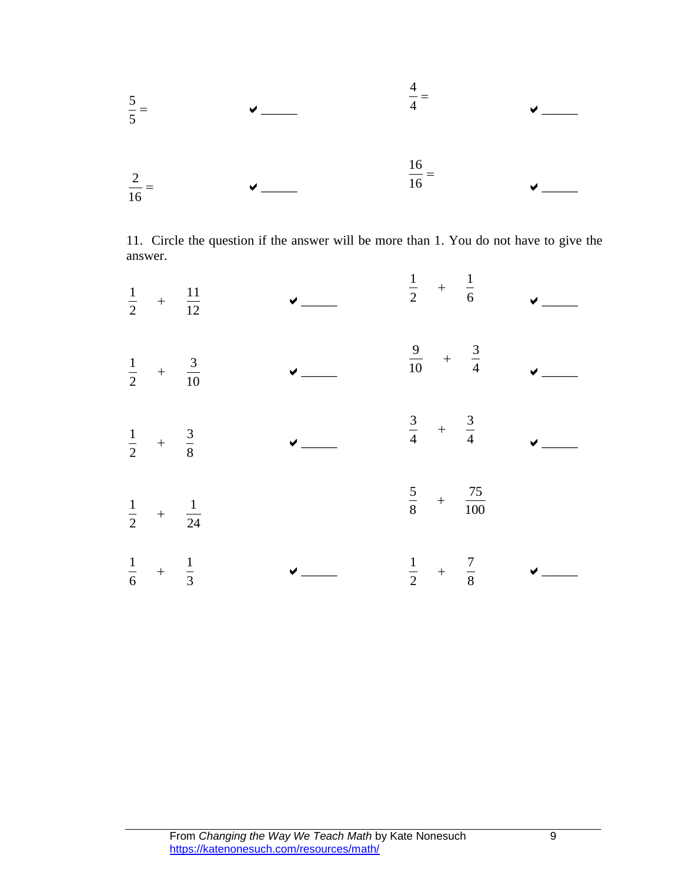

11. Circle the question if the answer will be more than 1. You do not have to give the answer.

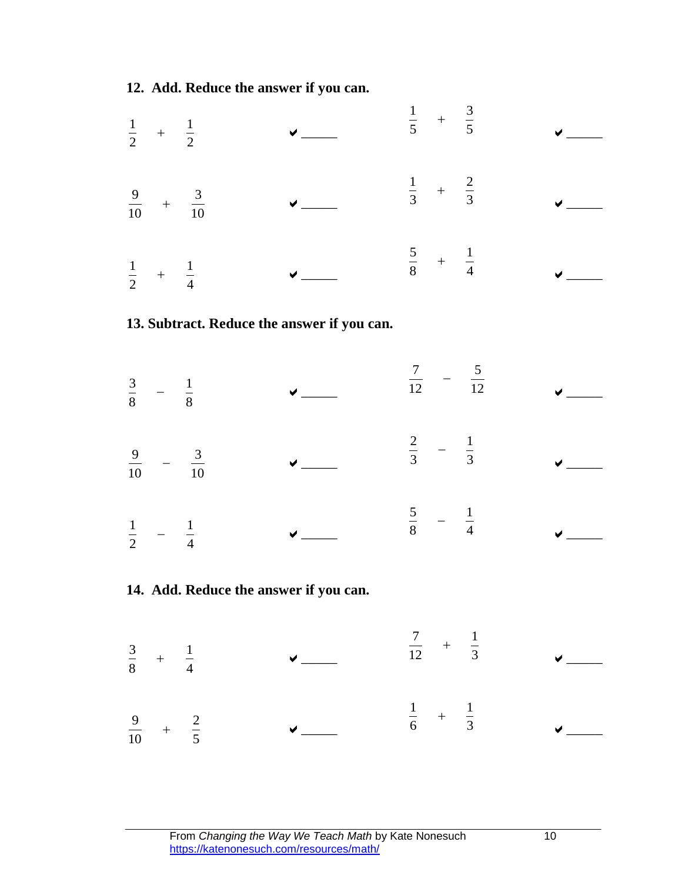**12. Add. Reduce the answer if you can.**



### **13. Subtract. Reduce the answer if you can.**

  $\sim$   $\sim$   $\sim$   $\sim$   $\sim$   $\sim$  12 12  $\frac{7}{2}$  –  $\checkmark$   $-\frac{3}{10}$   $\sqrt{20}$   $3$  3  $rac{2}{2}$  –  $\checkmark$   $-\frac{1}{4}$   $\vee$   $\qquad$  8 4  $\frac{5}{2}$  –  $\checkmark$ 

### **14. Add. Reduce the answer if you can.**

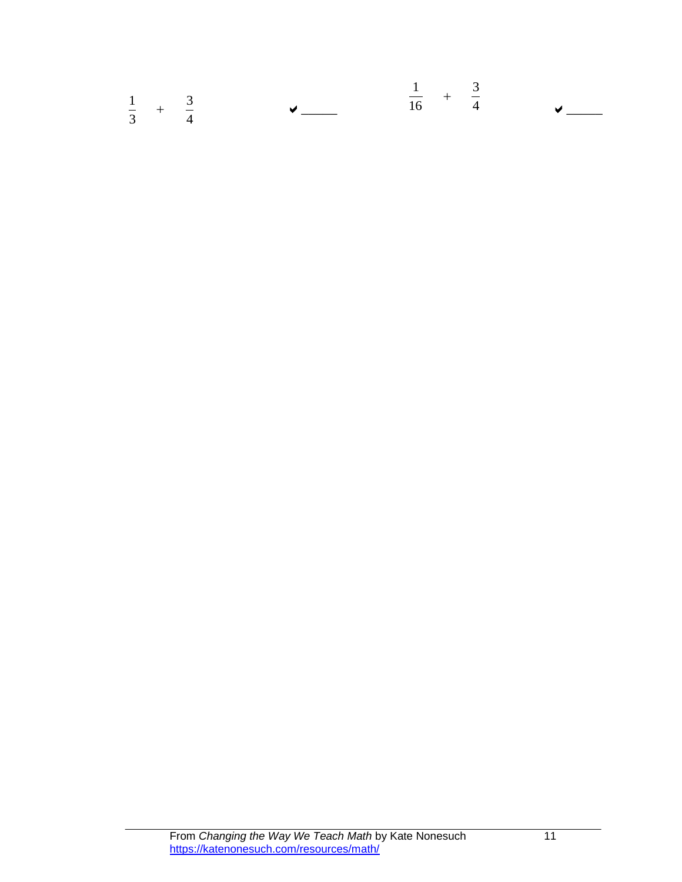|             |                             |                        | $\frac{1}{2}$ + $\frac{3}{2}$ |      |                           |
|-------------|-----------------------------|------------------------|-------------------------------|------|---------------------------|
| $3^{\circ}$ | $\frac{1}{-}$ $\frac{3}{-}$ | <b>Service</b> Service |                               | 16 4 | $\sqrt{2}$ and $\sqrt{2}$ |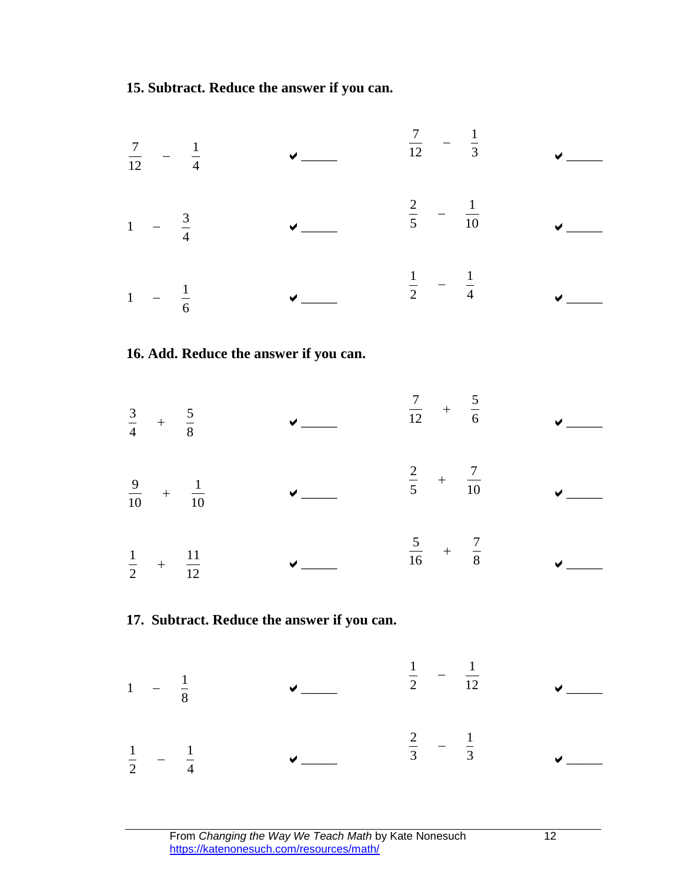**15. Subtract. Reduce the answer if you can.**



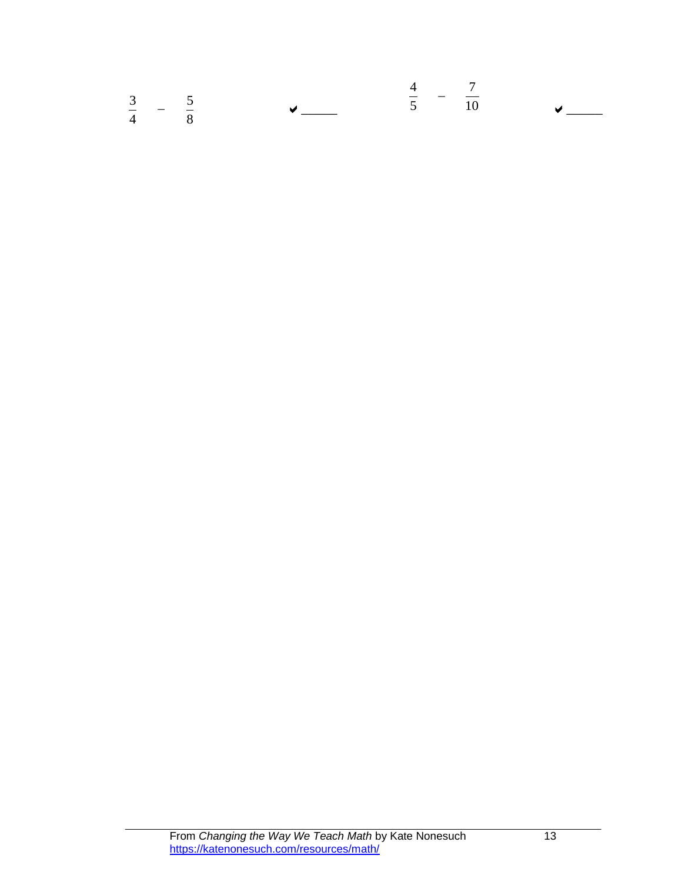|                                      |  | 4 7  |                           |
|--------------------------------------|--|------|---------------------------|
| $3 \qquad \qquad 5$<br>$\frac{4}{8}$ |  | 5 10 | $\sqrt{2}$ and $\sqrt{2}$ |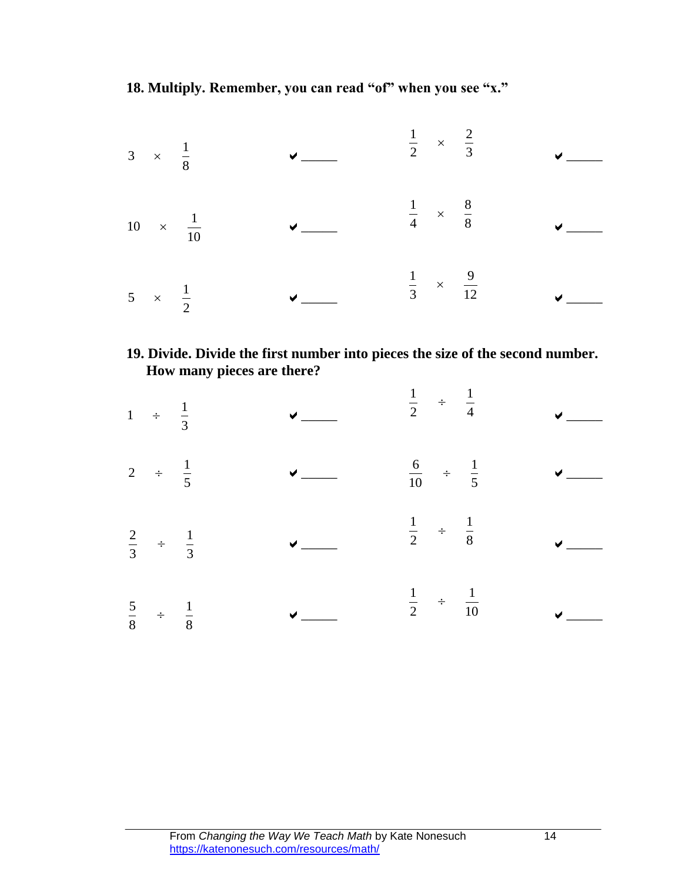**18. Multiply. Remember, you can read "of" when you see "x."**



### **19. Divide. Divide the first number into pieces the size of the second number. How many pieces are there?**

| 1 $\div$ $\frac{1}{3}$             |                                    |              | $\frac{1}{2}$ $\div$ $\frac{1}{4}$  | $\sqrt{2}$               |
|------------------------------------|------------------------------------|--------------|-------------------------------------|--------------------------|
| 2 $\div$ $\frac{1}{5}$             |                                    | $\sqrt{ }$   | $\frac{6}{10}$ $\div$ $\frac{1}{5}$ | $\overline{\phantom{a}}$ |
| $\frac{2}{3}$ $\div$ $\frac{1}{3}$ |                                    | $\sqrt{a}$   | $\frac{1}{2}$ $\div$ $\frac{1}{8}$  | $\checkmark$             |
|                                    | $\frac{5}{8}$ $\div$ $\frac{1}{8}$ | $\checkmark$ | $\frac{1}{2}$ $\div$ $\frac{1}{10}$ | $\checkmark$             |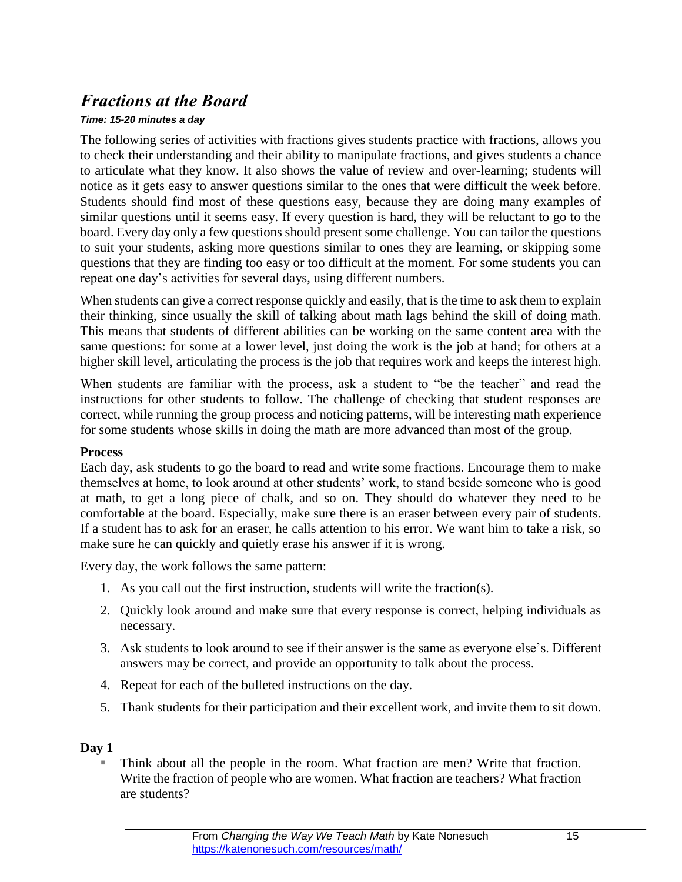# *Fractions at the Board*

### *Time: 15-20 minutes a day*

The following series of activities with fractions gives students practice with fractions, allows you to check their understanding and their ability to manipulate fractions, and gives students a chance to articulate what they know. It also shows the value of review and over-learning; students will notice as it gets easy to answer questions similar to the ones that were difficult the week before. Students should find most of these questions easy, because they are doing many examples of similar questions until it seems easy. If every question is hard, they will be reluctant to go to the board. Every day only a few questions should present some challenge. You can tailor the questions to suit your students, asking more questions similar to ones they are learning, or skipping some questions that they are finding too easy or too difficult at the moment. For some students you can repeat one day's activities for several days, using different numbers.

When students can give a correct response quickly and easily, that is the time to ask them to explain their thinking, since usually the skill of talking about math lags behind the skill of doing math. This means that students of different abilities can be working on the same content area with the same questions: for some at a lower level, just doing the work is the job at hand; for others at a higher skill level, articulating the process is the job that requires work and keeps the interest high.

When students are familiar with the process, ask a student to "be the teacher" and read the instructions for other students to follow. The challenge of checking that student responses are correct, while running the group process and noticing patterns, will be interesting math experience for some students whose skills in doing the math are more advanced than most of the group.

### **Process**

Each day, ask students to go the board to read and write some fractions. Encourage them to make themselves at home, to look around at other students' work, to stand beside someone who is good at math, to get a long piece of chalk, and so on. They should do whatever they need to be comfortable at the board. Especially, make sure there is an eraser between every pair of students. If a student has to ask for an eraser, he calls attention to his error. We want him to take a risk, so make sure he can quickly and quietly erase his answer if it is wrong.

Every day, the work follows the same pattern:

- 1. As you call out the first instruction, students will write the fraction(s).
- 2. Quickly look around and make sure that every response is correct, helping individuals as necessary.
- 3. Ask students to look around to see if their answer is the same as everyone else's. Different answers may be correct, and provide an opportunity to talk about the process.
- 4. Repeat for each of the bulleted instructions on the day.
- 5. Thank students for their participation and their excellent work, and invite them to sit down.

### **Day 1**

 Think about all the people in the room. What fraction are men? Write that fraction. Write the fraction of people who are women. What fraction are teachers? What fraction are students?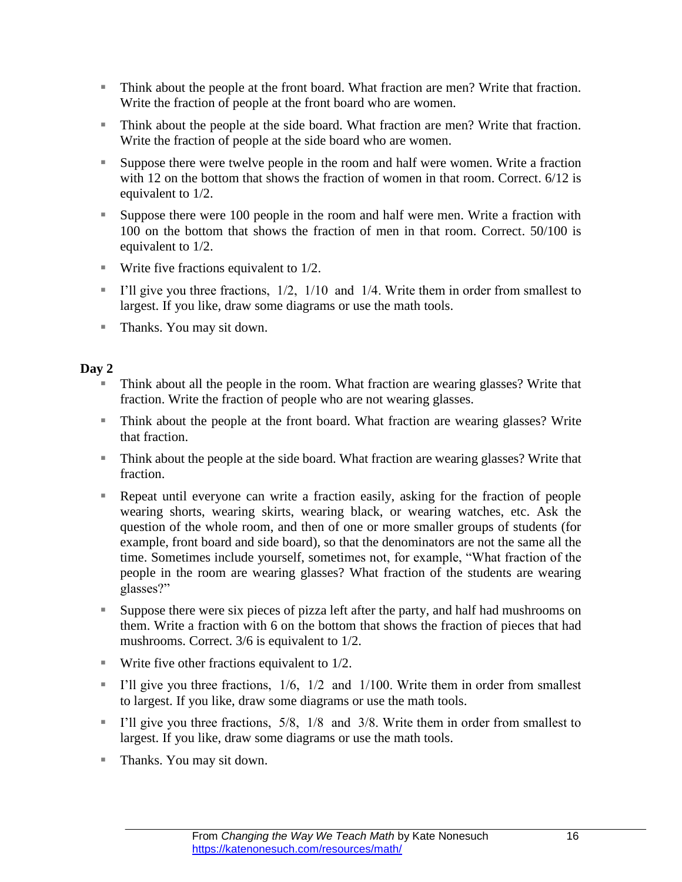- Think about the people at the front board. What fraction are men? Write that fraction. Write the fraction of people at the front board who are women.
- Think about the people at the side board. What fraction are men? Write that fraction. Write the fraction of people at the side board who are women.
- Suppose there were twelve people in the room and half were women. Write a fraction with 12 on the bottom that shows the fraction of women in that room. Correct. 6/12 is equivalent to 1/2.
- Suppose there were 100 people in the room and half were men. Write a fraction with 100 on the bottom that shows the fraction of men in that room. Correct. 50/100 is equivalent to 1/2.
- **Write five fractions equivalent to 1/2.**
- I'll give you three fractions,  $1/2$ ,  $1/10$  and  $1/4$ . Write them in order from smallest to largest. If you like, draw some diagrams or use the math tools.
- Thanks. You may sit down.

- Think about all the people in the room. What fraction are wearing glasses? Write that fraction. Write the fraction of people who are not wearing glasses.
- Think about the people at the front board. What fraction are wearing glasses? Write that fraction.
- Think about the people at the side board. What fraction are wearing glasses? Write that fraction.
- Repeat until everyone can write a fraction easily, asking for the fraction of people wearing shorts, wearing skirts, wearing black, or wearing watches, etc. Ask the question of the whole room, and then of one or more smaller groups of students (for example, front board and side board), so that the denominators are not the same all the time. Sometimes include yourself, sometimes not, for example, "What fraction of the people in the room are wearing glasses? What fraction of the students are wearing glasses?"
- Suppose there were six pieces of pizza left after the party, and half had mushrooms on them. Write a fraction with 6 on the bottom that shows the fraction of pieces that had mushrooms. Correct. 3/6 is equivalent to 1/2.
- $\blacksquare$  Write five other fractions equivalent to 1/2.
- I'll give you three fractions,  $1/6$ ,  $1/2$  and  $1/100$ . Write them in order from smallest to largest. If you like, draw some diagrams or use the math tools.
- I'll give you three fractions,  $5/8$ ,  $1/8$  and  $3/8$ . Write them in order from smallest to largest. If you like, draw some diagrams or use the math tools.
- Thanks. You may sit down.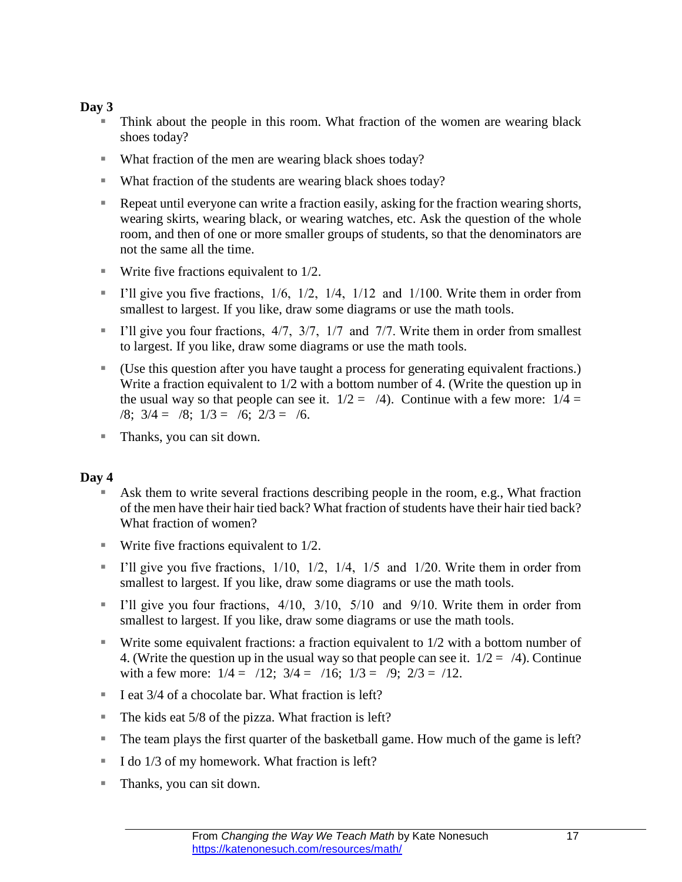- Think about the people in this room. What fraction of the women are wearing black shoes today?
- What fraction of the men are wearing black shoes today?
- What fraction of the students are wearing black shoes today?
- Repeat until everyone can write a fraction easily, asking for the fraction wearing shorts, wearing skirts, wearing black, or wearing watches, etc. Ask the question of the whole room, and then of one or more smaller groups of students, so that the denominators are not the same all the time.
- **Write five fractions equivalent to 1/2.**
- I'll give you five fractions,  $1/6$ ,  $1/2$ ,  $1/4$ ,  $1/12$  and  $1/100$ . Write them in order from smallest to largest. If you like, draw some diagrams or use the math tools.
- I'll give you four fractions,  $4/7$ ,  $3/7$ ,  $1/7$  and  $7/7$ . Write them in order from smallest to largest. If you like, draw some diagrams or use the math tools.
- (Use this question after you have taught a process for generating equivalent fractions.) Write a fraction equivalent to  $1/2$  with a bottom number of 4. (Write the question up in the usual way so that people can see it.  $1/2 = /4$ ). Continue with a few more:  $1/4 =$  $\sqrt{8}$ ;  $3/4 = \sqrt{8}$ ;  $1/3 = \sqrt{6}$ ;  $2/3 = \sqrt{6}$ .
- Thanks, you can sit down.

- Ask them to write several fractions describing people in the room, e.g., What fraction of the men have their hair tied back? What fraction of students have their hair tied back? What fraction of women?
- Write five fractions equivalent to  $1/2$ .
- I'll give you five fractions,  $1/10$ ,  $1/2$ ,  $1/4$ ,  $1/5$  and  $1/20$ . Write them in order from smallest to largest. If you like, draw some diagrams or use the math tools.
- I'll give you four fractions,  $4/10$ ,  $3/10$ ,  $5/10$  and  $9/10$ . Write them in order from smallest to largest. If you like, draw some diagrams or use the math tools.
- **Write some equivalent fractions: a fraction equivalent to**  $1/2$  **with a bottom number of** 4. (Write the question up in the usual way so that people can see it.  $1/2 = 4$ ). Continue with a few more:  $1/4 = 7/12$ ;  $3/4 = 7/16$ ;  $1/3 = 7/9$ ;  $2/3 = 7/12$ .
- I eat  $3/4$  of a chocolate bar. What fraction is left?
- $\blacksquare$  The kids eat 5/8 of the pizza. What fraction is left?
- The team plays the first quarter of the basketball game. How much of the game is left?
- I do  $1/3$  of my homework. What fraction is left?
- Thanks, you can sit down.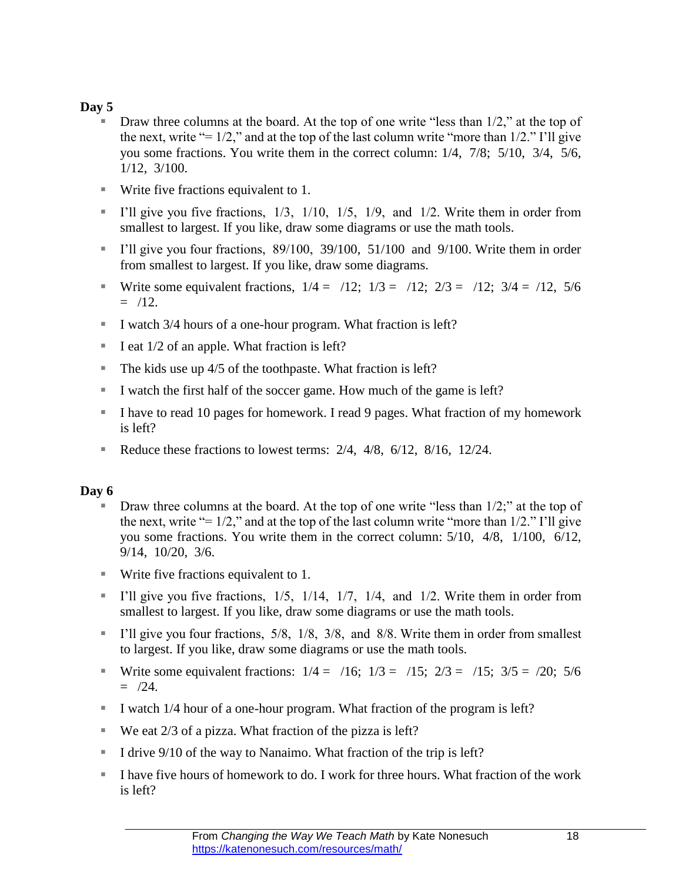- $\blacksquare$  Draw three columns at the board. At the top of one write "less than 1/2," at the top of the next, write "=  $1/2$ ," and at the top of the last column write "more than  $1/2$ ." I'll give you some fractions. You write them in the correct column: 1/4, 7/8; 5/10, 3/4, 5/6, 1/12, 3/100.
- Write five fractions equivalent to 1.
- I'll give you five fractions,  $1/3$ ,  $1/10$ ,  $1/5$ ,  $1/9$ , and  $1/2$ . Write them in order from smallest to largest. If you like, draw some diagrams or use the math tools.
- I'll give you four fractions,  $89/100$ ,  $39/100$ ,  $51/100$  and  $9/100$ . Write them in order from smallest to largest. If you like, draw some diagrams.
- Write some equivalent fractions,  $1/4 = 7/12$ ;  $1/3 = 7/12$ ;  $2/3 = 7/12$ ;  $3/4 = 7/12$ ,  $5/6$  $=$  /12.
- I watch 3/4 hours of a one-hour program. What fraction is left?
- I eat  $1/2$  of an apple. What fraction is left?
- The kids use up  $4/5$  of the toothpaste. What fraction is left?
- I watch the first half of the soccer game. How much of the game is left?
- I have to read 10 pages for homework. I read 9 pages. What fraction of my homework is left?
- Reduce these fractions to lowest terms:  $2/4$ ,  $4/8$ ,  $6/12$ ,  $8/16$ ,  $12/24$ .

- Draw three columns at the board. At the top of one write "less than 1/2;" at the top of the next, write "=  $1/2$ ," and at the top of the last column write "more than  $1/2$ ." I'll give you some fractions. You write them in the correct column: 5/10, 4/8, 1/100, 6/12, 9/14, 10/20, 3/6.
- Write five fractions equivalent to 1.
- I'll give you five fractions,  $1/5$ ,  $1/14$ ,  $1/7$ ,  $1/4$ , and  $1/2$ . Write them in order from smallest to largest. If you like, draw some diagrams or use the math tools.
- I'll give you four fractions,  $5/8$ ,  $1/8$ ,  $3/8$ , and  $8/8$ . Write them in order from smallest to largest. If you like, draw some diagrams or use the math tools.
- Write some equivalent fractions:  $1/4 = /16$ ;  $1/3 = /15$ ;  $2/3 = /15$ ;  $3/5 = /20$ ;  $5/6$  $=$  /24.
- I watch 1/4 hour of a one-hour program. What fraction of the program is left?
- We eat  $2/3$  of a pizza. What fraction of the pizza is left?
- I drive 9/10 of the way to Nanaimo. What fraction of the trip is left?
- I have five hours of homework to do. I work for three hours. What fraction of the work is left?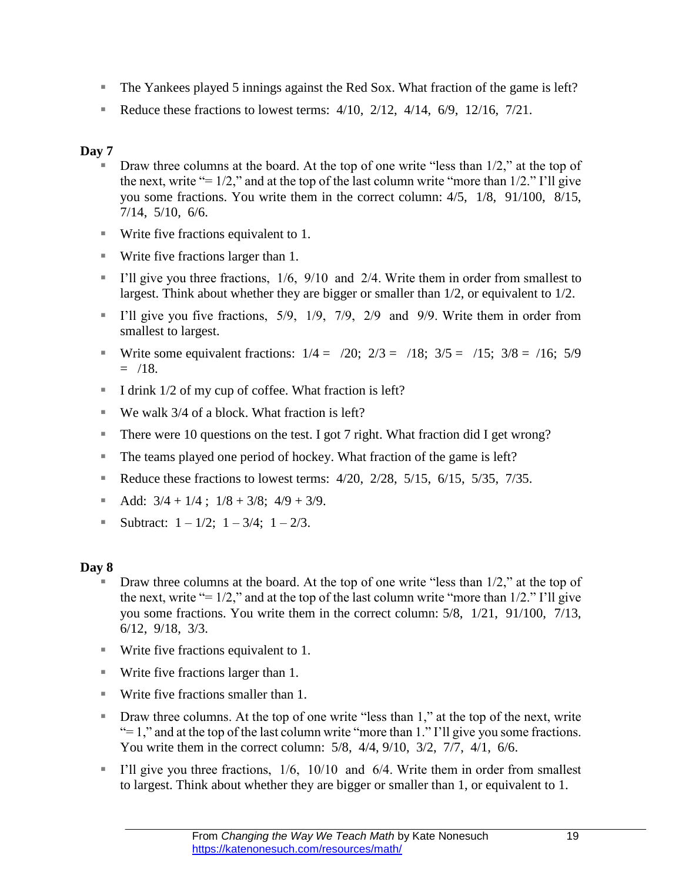- The Yankees played 5 innings against the Red Sox. What fraction of the game is left?
- Reduce these fractions to lowest terms:  $4/10$ ,  $2/12$ ,  $4/14$ ,  $6/9$ ,  $12/16$ ,  $7/21$ .

- $\blacksquare$  Draw three columns at the board. At the top of one write "less than 1/2," at the top of the next, write "=  $1/2$ ," and at the top of the last column write "more than  $1/2$ ." I'll give you some fractions. You write them in the correct column: 4/5, 1/8, 91/100, 8/15, 7/14, 5/10, 6/6.
- Write five fractions equivalent to 1.
- Write five fractions larger than 1.
- I'll give you three fractions,  $1/6$ ,  $9/10$  and  $2/4$ . Write them in order from smallest to largest. Think about whether they are bigger or smaller than 1/2, or equivalent to 1/2.
- I'll give you five fractions,  $5/9$ ,  $1/9$ ,  $7/9$ ,  $2/9$  and  $9/9$ . Write them in order from smallest to largest.
- Write some equivalent fractions:  $1/4 = 720$ ;  $2/3 = 718$ ;  $3/5 = 715$ ;  $3/8 = 716$ ;  $5/9$  $=$  /18.
- I drink  $1/2$  of my cup of coffee. What fraction is left?
- We walk 3/4 of a block. What fraction is left?
- There were 10 questions on the test. I got 7 right. What fraction did I get wrong?
- The teams played one period of hockey. What fraction of the game is left?
- Reduce these fractions to lowest terms:  $4/20$ ,  $2/28$ ,  $5/15$ ,  $6/15$ ,  $5/35$ ,  $7/35$ .
- Add:  $3/4 + 1/4$ ;  $1/8 + 3/8$ ;  $4/9 + 3/9$ .
- Subtract:  $1 1/2$ ;  $1 3/4$ ;  $1 2/3$ .

- $\blacksquare$  Draw three columns at the board. At the top of one write "less than 1/2," at the top of the next, write "=  $1/2$ ," and at the top of the last column write "more than  $1/2$ ." I'll give you some fractions. You write them in the correct column: 5/8, 1/21, 91/100, 7/13, 6/12, 9/18, 3/3.
- Write five fractions equivalent to 1.
- Write five fractions larger than 1.
- Write five fractions smaller than 1.
- Draw three columns. At the top of one write "less than 1," at the top of the next, write " $= 1$ ," and at the top of the last column write "more than 1." I'll give you some fractions. You write them in the correct column: 5/8, 4/4, 9/10, 3/2, 7/7, 4/1, 6/6.
- I'll give you three fractions,  $1/6$ ,  $10/10$  and  $6/4$ . Write them in order from smallest to largest. Think about whether they are bigger or smaller than 1, or equivalent to 1.